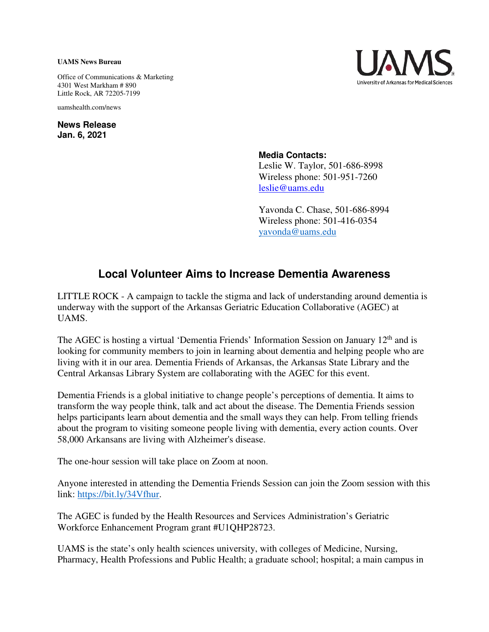## **UAMS News Bureau**

Office of Communications & Marketing 4301 West Markham # 890 Little Rock, AR 72205-7199

uamshealth.com/news

**News Release Jan. 6, 2021**



**Media Contacts:**

Leslie W. Taylor, 501-686-8998 Wireless phone: 501-951-7260 [leslie@uams.edu](mailto:leslie@uams.edu)

Yavonda C. Chase, 501-686-8994 Wireless phone: 501-416-0354 [yavonda@uams.edu](mailto:yavonda@uams.edu) 

## **Local Volunteer Aims to Increase Dementia Awareness**

LITTLE ROCK - A campaign to tackle the stigma and lack of understanding around dementia is underway with the support of the Arkansas Geriatric Education Collaborative (AGEC) at UAMS.

The AGEC is hosting a virtual 'Dementia Friends' Information Session on January 12<sup>th</sup> and is looking for community members to join in learning about dementia and helping people who are living with it in our area. Dementia Friends of Arkansas, the Arkansas State Library and the Central Arkansas Library System are collaborating with the AGEC for this event.

Dementia Friends is a global initiative to change people's perceptions of dementia. It aims to transform the way people think, talk and act about the disease. The Dementia Friends session helps participants learn about dementia and the small ways they can help. From telling friends about the program to visiting someone people living with dementia, every action counts. Over 58,000 Arkansans are living with Alzheimer's disease.

The one-hour session will take place on Zoom at noon.

Anyone interested in attending the Dementia Friends Session can join the Zoom session with this link: [https://bit.ly/34Vfhur.](https://bit.ly/34Vfhur?fbclid=IwAR0spi-dBiy00ZMs1U8Z7Af7OCN-0jKXHEFhEeXsXcAVG17isUbPLcvxiC4)

The AGEC is funded by the Health Resources and Services Administration's Geriatric Workforce Enhancement Program grant [#U1QHP28723.](https://www.facebook.com/hashtag/u1qhp28723?__eep__=6&__cft__%5b0%5d=AZUUP69XW-AMEZ26VhUu17VII8m_-0DsL-9BlIGQiW7gU0Bf09V1RYjXDpotho63RVN_gZVin3SmO5wwtKZPYzBbX1SCuzvs-Eh3cUpLVBjGDQnSuqQRdyNEJfDv46NLqXRLDKQmNQwD9VcWVObB_2gwQdaEavLfJtqLiC27otkJHg&__tn__=q)

UAMS is the state's only health sciences university, with colleges of Medicine, Nursing, Pharmacy, Health Professions and Public Health; a graduate school; hospital; a main campus in